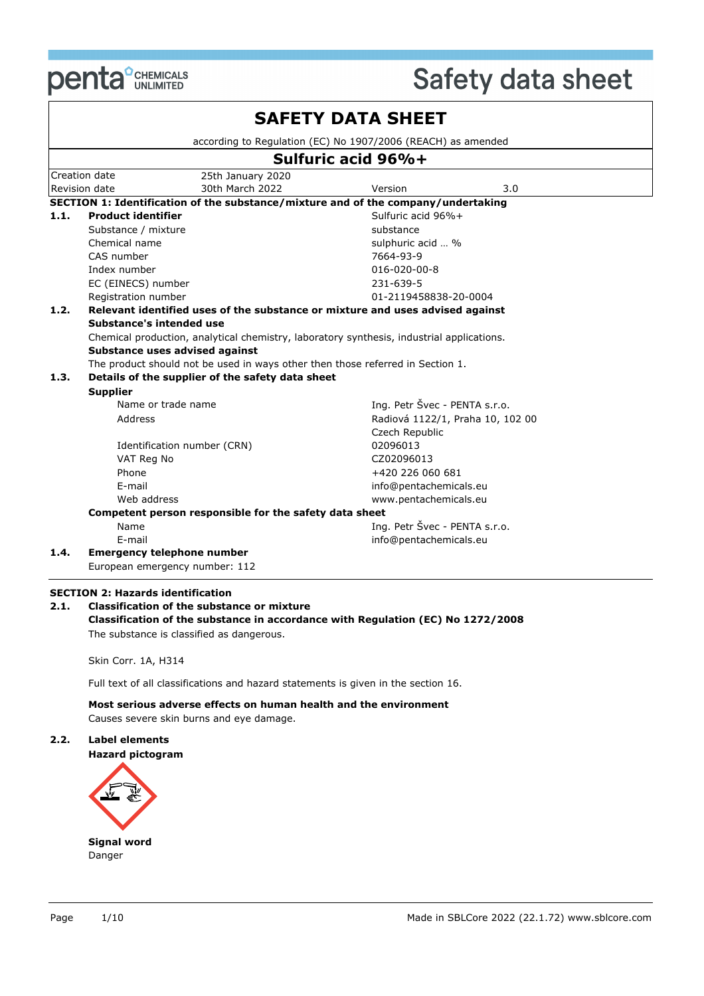

|      |                                                        |                   | according to Regulation (EC) No 1907/2006 (REACH) as amended                              |  |
|------|--------------------------------------------------------|-------------------|-------------------------------------------------------------------------------------------|--|
|      |                                                        |                   | Sulfuric acid 96%+                                                                        |  |
|      | Creation date                                          | 25th January 2020 |                                                                                           |  |
|      | Revision date                                          | 30th March 2022   | Version<br>3.0                                                                            |  |
|      |                                                        |                   | SECTION 1: Identification of the substance/mixture and of the company/undertaking         |  |
| 1.1. | <b>Product identifier</b>                              |                   | Sulfuric acid 96%+                                                                        |  |
|      | Substance / mixture                                    |                   | substance                                                                                 |  |
|      | Chemical name                                          |                   | sulphuric acid  %                                                                         |  |
|      | CAS number                                             |                   | 7664-93-9                                                                                 |  |
|      | Index number                                           |                   | $016 - 020 - 00 - 8$                                                                      |  |
|      | EC (EINECS) number                                     |                   | 231-639-5                                                                                 |  |
|      | Registration number                                    |                   | 01-2119458838-20-0004                                                                     |  |
| 1.2. |                                                        |                   | Relevant identified uses of the substance or mixture and uses advised against             |  |
|      | Substance's intended use                               |                   |                                                                                           |  |
|      |                                                        |                   |                                                                                           |  |
|      |                                                        |                   | Chemical production, analytical chemistry, laboratory synthesis, industrial applications. |  |
|      | Substance uses advised against                         |                   |                                                                                           |  |
|      |                                                        |                   | The product should not be used in ways other then those referred in Section 1.            |  |
| 1.3. | Details of the supplier of the safety data sheet       |                   |                                                                                           |  |
|      | <b>Supplier</b>                                        |                   |                                                                                           |  |
|      | Name or trade name                                     |                   | Ing. Petr Švec - PENTA s.r.o.                                                             |  |
|      | Address                                                |                   | Radiová 1122/1, Praha 10, 102 00                                                          |  |
|      |                                                        |                   | Czech Republic                                                                            |  |
|      | Identification number (CRN)                            |                   | 02096013                                                                                  |  |
|      | VAT Reg No                                             |                   | CZ02096013                                                                                |  |
|      | Phone                                                  |                   | +420 226 060 681                                                                          |  |
|      | E-mail                                                 |                   | info@pentachemicals.eu                                                                    |  |
|      | Web address                                            |                   | www.pentachemicals.eu                                                                     |  |
|      | Competent person responsible for the safety data sheet |                   |                                                                                           |  |
|      | Name                                                   |                   | Ing. Petr Švec - PENTA s.r.o.                                                             |  |
| 1.4. | E-mail<br><b>Emergency telephone number</b>            |                   | info@pentachemicals.eu                                                                    |  |

#### **SECTION 2: Hazards identification**

#### **2.1. Classification of the substance or mixture Classification of the substance in accordance with Regulation (EC) No 1272/2008** The substance is classified as dangerous.

Skin Corr. 1A, H314

Full text of all classifications and hazard statements is given in the section 16.

**Most serious adverse effects on human health and the environment**

Causes severe skin burns and eye damage.

#### **2.2. Label elements**

#### **Hazard pictogram**

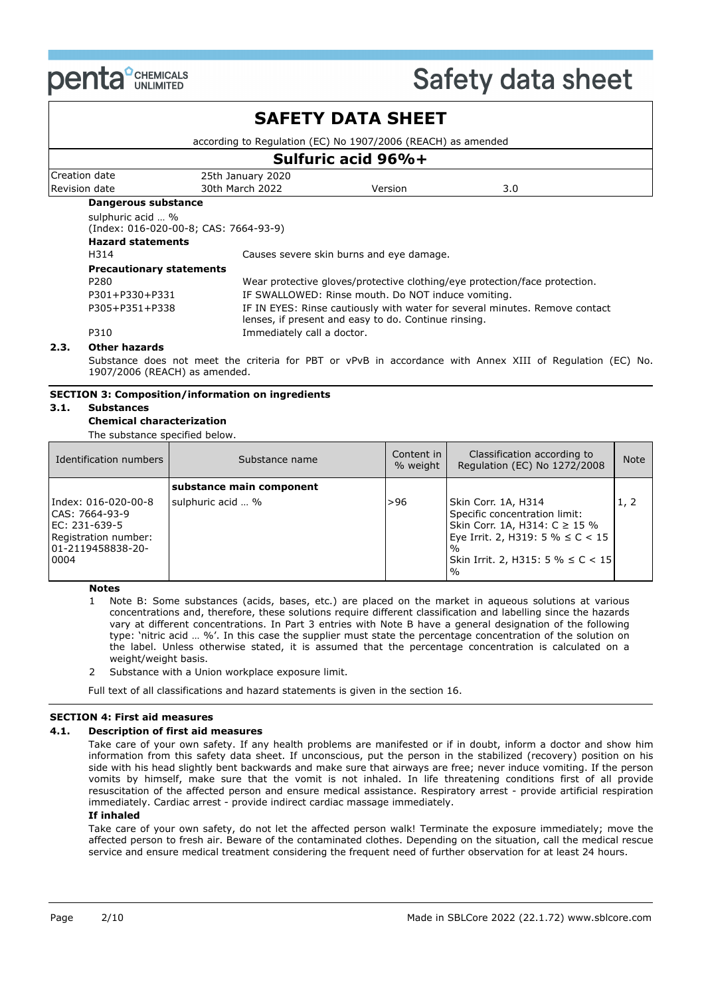

### **SAFETY DATA SHEET**

according to Regulation (EC) No 1907/2006 (REACH) as amended

|                          | Sulfuric acid 96%+                                         |                            |                                                      |                                                                             |  |  |  |
|--------------------------|------------------------------------------------------------|----------------------------|------------------------------------------------------|-----------------------------------------------------------------------------|--|--|--|
|                          | Creation date                                              | 25th January 2020          |                                                      |                                                                             |  |  |  |
|                          | Revision date                                              | 30th March 2022            | Version                                              | 3.0                                                                         |  |  |  |
|                          | Dangerous substance                                        |                            |                                                      |                                                                             |  |  |  |
|                          | sulphuric acid  %<br>(Index: 016-020-00-8; CAS: 7664-93-9) |                            |                                                      |                                                                             |  |  |  |
| <b>Hazard statements</b> |                                                            |                            |                                                      |                                                                             |  |  |  |
|                          | H314                                                       |                            | Causes severe skin burns and eye damage.             |                                                                             |  |  |  |
|                          | <b>Precautionary statements</b>                            |                            |                                                      |                                                                             |  |  |  |
|                          | P280                                                       |                            |                                                      | Wear protective gloves/protective clothing/eye protection/face protection.  |  |  |  |
|                          | P301+P330+P331                                             |                            | IF SWALLOWED: Rinse mouth. Do NOT induce vomiting.   |                                                                             |  |  |  |
|                          | P305+P351+P338                                             |                            | lenses, if present and easy to do. Continue rinsing. | IF IN EYES: Rinse cautiously with water for several minutes. Remove contact |  |  |  |
|                          | P310                                                       | Immediately call a doctor. |                                                      |                                                                             |  |  |  |
|                          | Othan haaanda                                              |                            |                                                      |                                                                             |  |  |  |

#### **2.3. Other hazards**

Substance does not meet the criteria for PBT or vPvB in accordance with Annex XIII of Regulation (EC) No. 1907/2006 (REACH) as amended.

#### **SECTION 3: Composition/information on ingredients**

#### **3.1. Substances**

#### **Chemical characterization**

The substance specified below.

| Identification numbers                                                                                            | Substance name           | Content in I<br>% weight | Classification according to<br>Regulation (EC) No 1272/2008                                                                                                                                           | <b>Note</b> |
|-------------------------------------------------------------------------------------------------------------------|--------------------------|--------------------------|-------------------------------------------------------------------------------------------------------------------------------------------------------------------------------------------------------|-------------|
|                                                                                                                   | substance main component |                          |                                                                                                                                                                                                       |             |
| Index: 016-020-00-8<br>CAS: 7664-93-9<br>EC: $231 - 639 - 5$<br>Registration number:<br>01-2119458838-20-<br>0004 | sulphuric acid  %        | >96                      | Skin Corr. 1A, H314<br>Specific concentration limit:<br>Skin Corr. 1A, H314: C ≥ 15 %<br>Eye Irrit. 2, H319: 5 % ≤ C < 15<br>$\frac{0}{0}$<br>Skin Irrit. 2, H315: 5 % $\leq C$ < 15<br>$\frac{0}{0}$ | 1, 2        |

#### **Notes**

- 1 Note B: Some substances (acids, bases, etc.) are placed on the market in aqueous solutions at various concentrations and, therefore, these solutions require different classification and labelling since the hazards vary at different concentrations. In Part 3 entries with Note B have a general designation of the following type: 'nitric acid … %'. In this case the supplier must state the percentage concentration of the solution on the label. Unless otherwise stated, it is assumed that the percentage concentration is calculated on a weight/weight basis.
- 2 Substance with a Union workplace exposure limit.

Full text of all classifications and hazard statements is given in the section 16.

#### **SECTION 4: First aid measures**

#### **4.1. Description of first aid measures**

Take care of your own safety. If any health problems are manifested or if in doubt, inform a doctor and show him information from this safety data sheet. If unconscious, put the person in the stabilized (recovery) position on his side with his head slightly bent backwards and make sure that airways are free; never induce vomiting. If the person vomits by himself, make sure that the vomit is not inhaled. In life threatening conditions first of all provide resuscitation of the affected person and ensure medical assistance. Respiratory arrest - provide artificial respiration immediately. Cardiac arrest - provide indirect cardiac massage immediately.

#### **If inhaled**

Take care of your own safety, do not let the affected person walk! Terminate the exposure immediately; move the affected person to fresh air. Beware of the contaminated clothes. Depending on the situation, call the medical rescue service and ensure medical treatment considering the frequent need of further observation for at least 24 hours.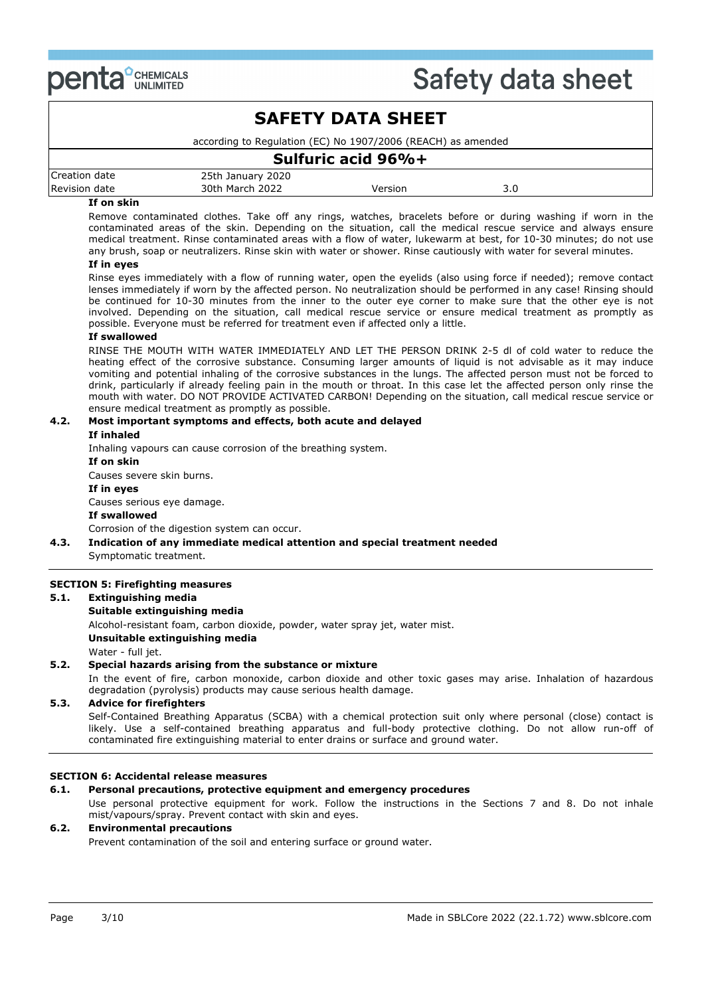

### **SAFETY DATA SHEET** according to Regulation (EC) No 1907/2006 (REACH) as amended **Sulfuric acid 96%+** Creation date 25th January 2020 Revision date and 30th March 2022 and Version 3.0

#### **If on skin**

Remove contaminated clothes. Take off any rings, watches, bracelets before or during washing if worn in the contaminated areas of the skin. Depending on the situation, call the medical rescue service and always ensure medical treatment. Rinse contaminated areas with a flow of water, lukewarm at best, for 10-30 minutes; do not use any brush, soap or neutralizers. Rinse skin with water or shower. Rinse cautiously with water for several minutes.

#### **If in eyes**

Rinse eyes immediately with a flow of running water, open the eyelids (also using force if needed); remove contact lenses immediately if worn by the affected person. No neutralization should be performed in any case! Rinsing should be continued for 10-30 minutes from the inner to the outer eye corner to make sure that the other eye is not involved. Depending on the situation, call medical rescue service or ensure medical treatment as promptly as possible. Everyone must be referred for treatment even if affected only a little.

#### **If swallowed**

RINSE THE MOUTH WITH WATER IMMEDIATELY AND LET THE PERSON DRINK 2-5 dl of cold water to reduce the heating effect of the corrosive substance. Consuming larger amounts of liquid is not advisable as it may induce vomiting and potential inhaling of the corrosive substances in the lungs. The affected person must not be forced to drink, particularly if already feeling pain in the mouth or throat. In this case let the affected person only rinse the mouth with water. DO NOT PROVIDE ACTIVATED CARBON! Depending on the situation, call medical rescue service or ensure medical treatment as promptly as possible.

### **4.2. Most important symptoms and effects, both acute and delayed**

#### **If inhaled**

Inhaling vapours can cause corrosion of the breathing system.

**If on skin**

Causes severe skin burns.

### **If in eyes**

Causes serious eye damage.

#### **If swallowed**

Corrosion of the digestion system can occur.

#### **4.3. Indication of any immediate medical attention and special treatment needed** Symptomatic treatment.

#### **SECTION 5: Firefighting measures**

#### **5.1. Extinguishing media**

#### **Suitable extinguishing media**

Alcohol-resistant foam, carbon dioxide, powder, water spray jet, water mist.

**Unsuitable extinguishing media**

Water - full jet.

#### **5.2. Special hazards arising from the substance or mixture**

In the event of fire, carbon monoxide, carbon dioxide and other toxic gases may arise. Inhalation of hazardous degradation (pyrolysis) products may cause serious health damage.

#### **5.3. Advice for firefighters**

Self-Contained Breathing Apparatus (SCBA) with a chemical protection suit only where personal (close) contact is likely. Use a self-contained breathing apparatus and full-body protective clothing. Do not allow run-off of contaminated fire extinguishing material to enter drains or surface and ground water.

#### **SECTION 6: Accidental release measures**

#### **6.1. Personal precautions, protective equipment and emergency procedures**

Use personal protective equipment for work. Follow the instructions in the Sections 7 and 8. Do not inhale mist/vapours/spray. Prevent contact with skin and eyes.

#### **6.2. Environmental precautions**

Prevent contamination of the soil and entering surface or ground water.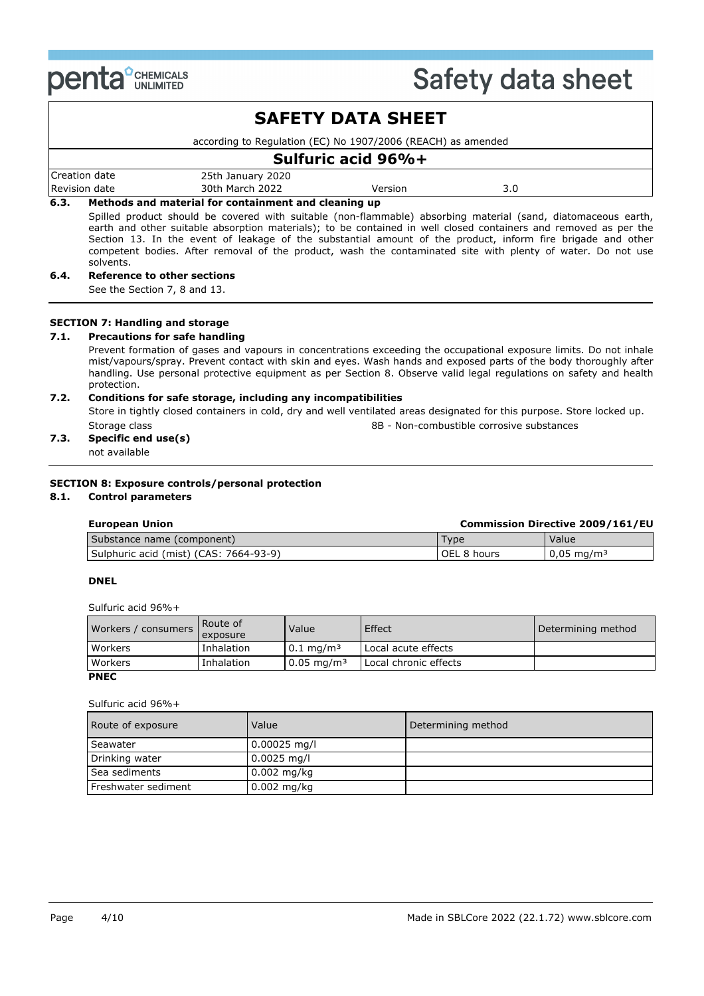

|      |               |                                                                                                                                                                                                                                                                                                                                                                                                                                                                 | <b>SAFETY DATA SHEET</b> |     |  |
|------|---------------|-----------------------------------------------------------------------------------------------------------------------------------------------------------------------------------------------------------------------------------------------------------------------------------------------------------------------------------------------------------------------------------------------------------------------------------------------------------------|--------------------------|-----|--|
|      |               | according to Regulation (EC) No 1907/2006 (REACH) as amended                                                                                                                                                                                                                                                                                                                                                                                                    |                          |     |  |
|      |               |                                                                                                                                                                                                                                                                                                                                                                                                                                                                 | Sulfuric acid 96%+       |     |  |
|      | Creation date | 25th January 2020                                                                                                                                                                                                                                                                                                                                                                                                                                               |                          |     |  |
|      | Revision date | 30th March 2022                                                                                                                                                                                                                                                                                                                                                                                                                                                 | Version                  | 3.0 |  |
| 6.3. |               | Methods and material for containment and cleaning up                                                                                                                                                                                                                                                                                                                                                                                                            |                          |     |  |
|      | solvents.     | Spilled product should be covered with suitable (non-flammable) absorbing material (sand, diatomaceous earth,<br>earth and other suitable absorption materials); to be contained in well closed containers and removed as per the<br>Section 13. In the event of leakage of the substantial amount of the product, inform fire brigade and other<br>competent bodies. After removal of the product, wash the contaminated site with plenty of water. Do not use |                          |     |  |
| 6.4. |               | Reference to other sections                                                                                                                                                                                                                                                                                                                                                                                                                                     |                          |     |  |

See the Section 7, 8 and 13.

#### **SECTION 7: Handling and storage**

#### **7.1. Precautions for safe handling**

Prevent formation of gases and vapours in concentrations exceeding the occupational exposure limits. Do not inhale mist/vapours/spray. Prevent contact with skin and eyes. Wash hands and exposed parts of the body thoroughly after handling. Use personal protective equipment as per Section 8. Observe valid legal regulations on safety and health protection.

#### **7.2. Conditions for safe storage, including any incompatibilities**

Store in tightly closed containers in cold, dry and well ventilated areas designated for this purpose. Store locked up. Storage class 8B - Non-combustible corrosive substances

### **7.3. Specific end use(s)**

not available

#### **SECTION 8: Exposure controls/personal protection**

#### **8.1. Control parameters**

### **European Union Commission Directive 2009/161/EU**

| Substance name (component)                   | -vpe           | Value                    |
|----------------------------------------------|----------------|--------------------------|
| (mist) (CAS:<br>7664-93-9)<br>Sulphuric acid | OEL 8<br>hours | $0.05$ mg/m <sup>3</sup> |

#### **DNEL**

Sulfuric acid 96%+

| Workers / consumers | Route of<br>exposure | Value                    | Effect                | Determining method |
|---------------------|----------------------|--------------------------|-----------------------|--------------------|
| Workers             | Inhalation           | $0.1 \text{ mg/m}^3$     | Local acute effects   |                    |
| Workers             | Inhalation           | $0.05 \,\mathrm{mg/m^3}$ | Local chronic effects |                    |
| <b>PNEC</b>         |                      |                          |                       |                    |

#### Sulfuric acid 96%+

| Route of exposure   | Value          | Determining method |
|---------------------|----------------|--------------------|
| Seawater            | $0.00025$ mg/l |                    |
| Drinking water      | $0.0025$ mg/l  |                    |
| Sea sediments       | $0.002$ mg/kg  |                    |
| Freshwater sediment | $0.002$ mg/kg  |                    |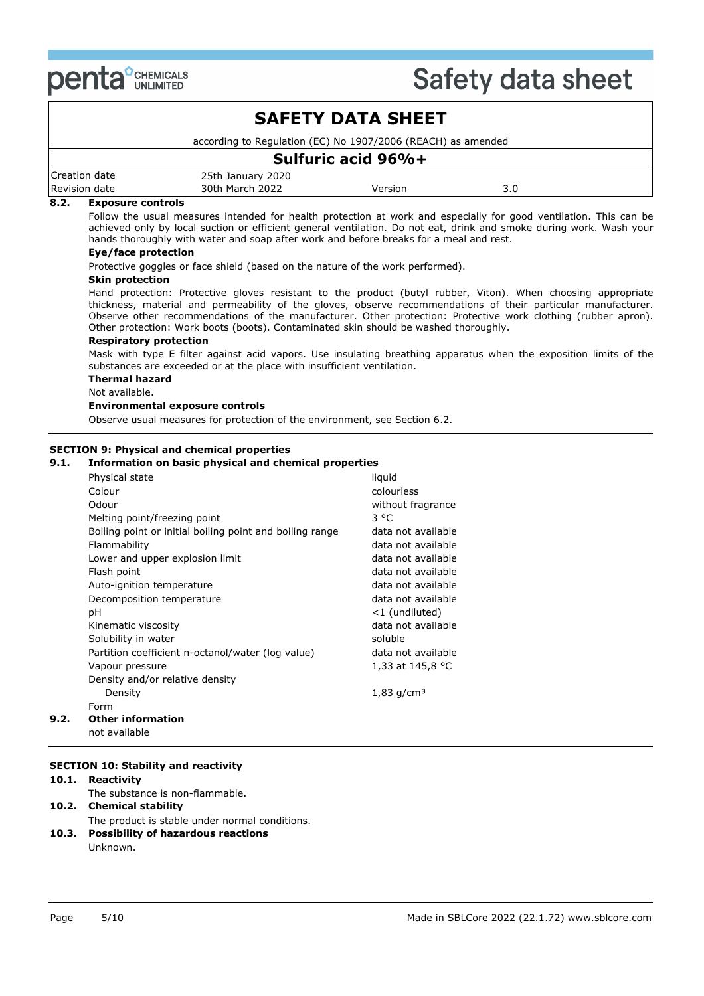

|                                  |                                                              | <b>SAFETY DATA SHEET</b> |     |  |
|----------------------------------|--------------------------------------------------------------|--------------------------|-----|--|
|                                  | according to Regulation (EC) No 1907/2006 (REACH) as amended |                          |     |  |
|                                  |                                                              | Sulfuric acid 96%+       |     |  |
| Creation date                    | 25th January 2020                                            |                          |     |  |
| Revision date                    | 30th March 2022                                              | Version                  | 3.0 |  |
| 8.2.<br><b>Exposure controls</b> |                                                              |                          |     |  |

#### **8.2. Exposure controls**

Follow the usual measures intended for health protection at work and especially for good ventilation. This can be achieved only by local suction or efficient general ventilation. Do not eat, drink and smoke during work. Wash your hands thoroughly with water and soap after work and before breaks for a meal and rest.

#### **Eye/face protection**

Protective goggles or face shield (based on the nature of the work performed).

#### **Skin protection**

Hand protection: Protective gloves resistant to the product (butyl rubber, Viton). When choosing appropriate thickness, material and permeability of the gloves, observe recommendations of their particular manufacturer. Observe other recommendations of the manufacturer. Other protection: Protective work clothing (rubber apron). Other protection: Work boots (boots). Contaminated skin should be washed thoroughly.

#### **Respiratory protection**

Mask with type E filter against acid vapors. Use insulating breathing apparatus when the exposition limits of the substances are exceeded or at the place with insufficient ventilation.

### **Thermal hazard**

Not available.

#### **Environmental exposure controls**

Observe usual measures for protection of the environment, see Section 6.2.

#### **SECTION 9: Physical and chemical properties**

#### **9.1. Information on basic physical and chemical properties**

| Physical state                                           | liquid             |
|----------------------------------------------------------|--------------------|
| Colour                                                   | colourless         |
| Odour                                                    | without fragrance  |
| Melting point/freezing point                             | $3^oC$             |
| Boiling point or initial boiling point and boiling range | data not available |
| Flammability                                             | data not available |
| Lower and upper explosion limit                          | data not available |
| Flash point                                              | data not available |
| Auto-ignition temperature                                | data not available |
| Decomposition temperature                                | data not available |
| рH                                                       | <1 (undiluted)     |
| Kinematic viscosity                                      | data not available |
| Solubility in water                                      | soluble            |
| Partition coefficient n-octanol/water (log value)        | data not available |
| Vapour pressure                                          | 1,33 at 145,8 °C   |
| Density and/or relative density                          |                    |
| Density                                                  | 1,83 $q/cm3$       |
| Form                                                     |                    |
| <b>Other information</b>                                 |                    |
| not available                                            |                    |

#### **SECTION 10: Stability and reactivity**

#### **10.1. Reactivity**

**9.2.** 

The substance is non-flammable.

#### **10.2. Chemical stability** The product is stable under normal conditions. **10.3. Possibility of hazardous reactions** Unknown.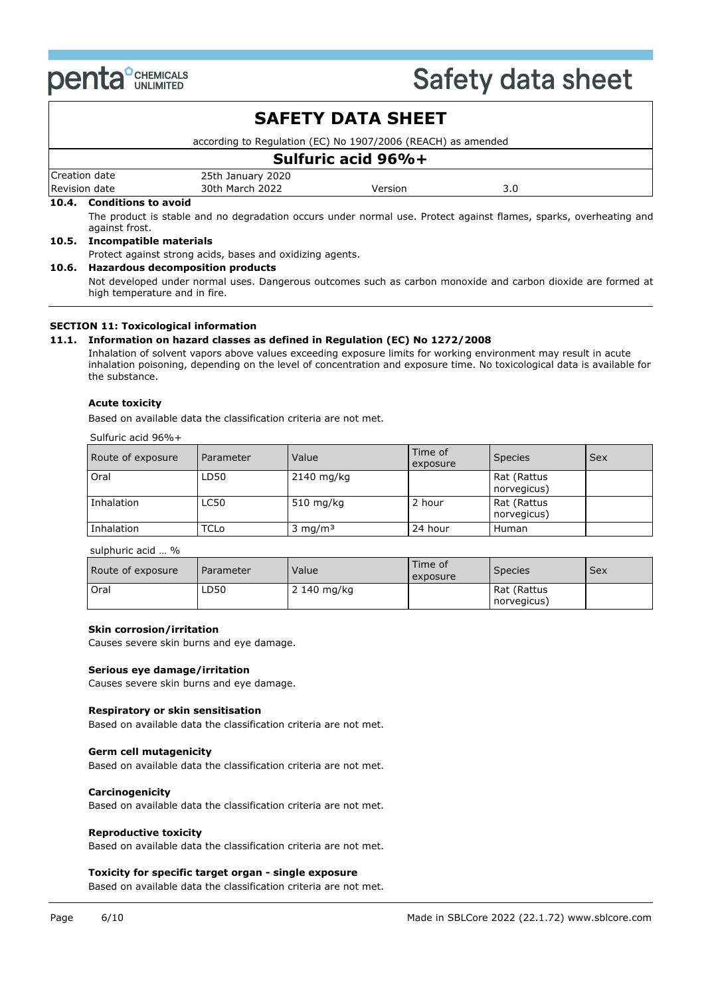

|       |                               |                                                                                                                   | <b>SAFETY DATA SHEET</b> |     |  |
|-------|-------------------------------|-------------------------------------------------------------------------------------------------------------------|--------------------------|-----|--|
|       |                               | according to Regulation (EC) No 1907/2006 (REACH) as amended                                                      |                          |     |  |
|       |                               |                                                                                                                   | Sulfuric acid 96%+       |     |  |
|       | Creation date                 | 25th January 2020                                                                                                 |                          |     |  |
|       | Revision date                 | 30th March 2022                                                                                                   | Version                  | 3.0 |  |
|       | 10.4. Conditions to avoid     |                                                                                                                   |                          |     |  |
|       | against frost.                | The product is stable and no degradation occurs under normal use. Protect against flames, sparks, overheating and |                          |     |  |
| 10.5. | <b>Incompatible materials</b> |                                                                                                                   |                          |     |  |
|       |                               | Protect against strong acids, bases and oxidizing agents.                                                         |                          |     |  |
| 10.6. |                               | <b>Hazardous decomposition products</b>                                                                           |                          |     |  |

Not developed under normal uses. Dangerous outcomes such as carbon monoxide and carbon dioxide are formed at high temperature and in fire.

#### **SECTION 11: Toxicological information**

#### **11.1. Information on hazard classes as defined in Regulation (EC) No 1272/2008**

Inhalation of solvent vapors above values exceeding exposure limits for working environment may result in acute inhalation poisoning, depending on the level of concentration and exposure time. No toxicological data is available for the substance.

#### **Acute toxicity**

Based on available data the classification criteria are not met.

| Sulfuric acid 96%+ |  |  |  |  |
|--------------------|--|--|--|--|
|--------------------|--|--|--|--|

| Route of exposure | Parameter   | Value              | Time of<br>exposure | <b>Species</b>             | <b>Sex</b> |
|-------------------|-------------|--------------------|---------------------|----------------------------|------------|
| Oral              | LD50        | $2140$ mg/kg       |                     | Rat (Rattus<br>norvegicus) |            |
| Inhalation        | <b>LC50</b> | 510 mg/kg          | 2 hour              | Rat (Rattus<br>norvegicus) |            |
| Inhalation        | TCLo        | $3 \text{ mg/m}^3$ | 24 hour             | Human                      |            |

sulphuric acid … %

| Route of exposure | Parameter | Value       | Time of<br>exposure | <b>Species</b>             | <b>Sex</b> |
|-------------------|-----------|-------------|---------------------|----------------------------|------------|
| Oral              | LD50      | 2 140 mg/kg |                     | Rat (Rattus<br>norvegicus) |            |

#### **Skin corrosion/irritation**

Causes severe skin burns and eye damage.

#### **Serious eye damage/irritation**

Causes severe skin burns and eye damage.

#### **Respiratory or skin sensitisation**

Based on available data the classification criteria are not met.

#### **Germ cell mutagenicity**

Based on available data the classification criteria are not met.

#### **Carcinogenicity**

Based on available data the classification criteria are not met.

#### **Reproductive toxicity**

Based on available data the classification criteria are not met.

#### **Toxicity for specific target organ - single exposure**

Based on available data the classification criteria are not met.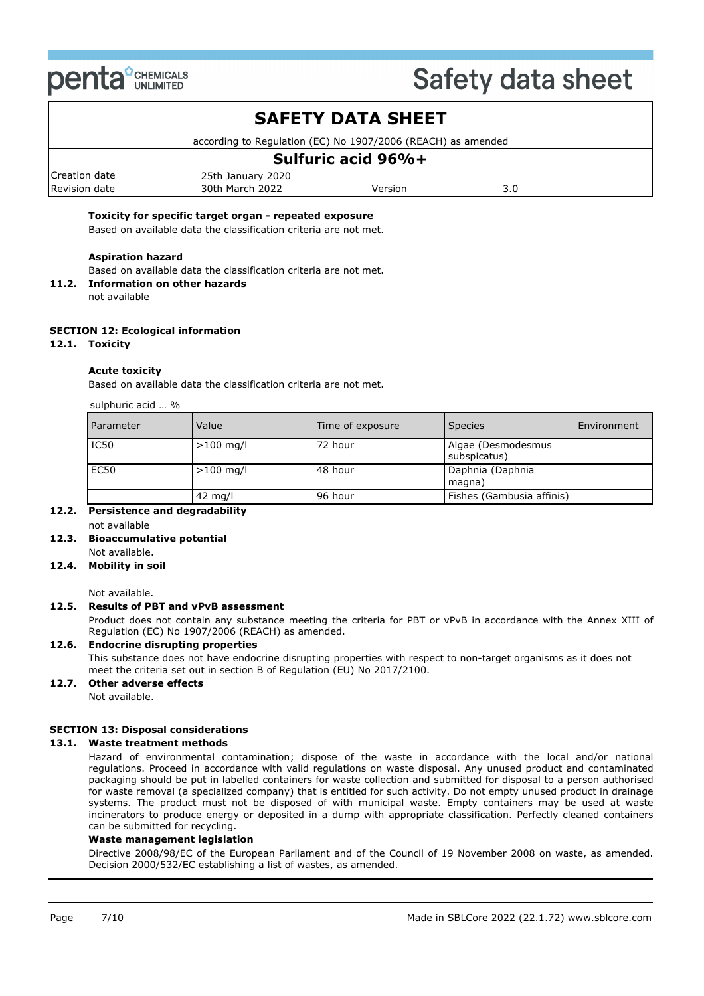

### **SAFETY DATA SHEET**

according to Regulation (EC) No 1907/2006 (REACH) as amended

### **Sulfuric acid 96%+**

| Creation<br>date      | $- -$<br>2020<br>25th<br>. January |                |           |
|-----------------------|------------------------------------|----------------|-----------|
| Revision<br>date<br>. | 2022<br>30th<br>March              | ersion<br>____ | J.U<br>__ |

#### **Toxicity for specific target organ - repeated exposure**

Based on available data the classification criteria are not met.

#### **Aspiration hazard**

Based on available data the classification criteria are not met.

**11.2. Information on other hazards**

not available

#### **SECTION 12: Ecological information**

#### **12.1. Toxicity**

#### **Acute toxicity**

Based on available data the classification criteria are not met.

| sulphuric acid  % |                   |                  |                                    |             |
|-------------------|-------------------|------------------|------------------------------------|-------------|
| Parameter         | Value             | Time of exposure | <b>Species</b>                     | Environment |
| IC50              | $>100$ mg/l       | 72 hour          | Algae (Desmodesmus<br>subspicatus) |             |
| EC50              | $>100$ mg/l       | 48 hour          | Daphnia (Daphnia<br>magna)         |             |
|                   | $42 \text{ mg/l}$ | 96 hour          | Fishes (Gambusia affinis)          |             |

#### **12.2. Persistence and degradability** not available

#### **12.3. Bioaccumulative potential** Not available.

### **12.4. Mobility in soil**

Not available.

#### **12.5. Results of PBT and vPvB assessment**

Product does not contain any substance meeting the criteria for PBT or vPvB in accordance with the Annex XIII of Regulation (EC) No 1907/2006 (REACH) as amended.

#### **12.6. Endocrine disrupting properties** This substance does not have endocrine disrupting properties with respect to non-target organisms as it does not meet the criteria set out in section B of Regulation (EU) No 2017/2100.

#### **12.7. Other adverse effects**

Not available.

#### **SECTION 13: Disposal considerations**

#### **13.1. Waste treatment methods**

Hazard of environmental contamination; dispose of the waste in accordance with the local and/or national regulations. Proceed in accordance with valid regulations on waste disposal. Any unused product and contaminated packaging should be put in labelled containers for waste collection and submitted for disposal to a person authorised for waste removal (a specialized company) that is entitled for such activity. Do not empty unused product in drainage systems. The product must not be disposed of with municipal waste. Empty containers may be used at waste incinerators to produce energy or deposited in a dump with appropriate classification. Perfectly cleaned containers can be submitted for recycling.

#### **Waste management legislation**

Directive 2008/98/EC of the European Parliament and of the Council of 19 November 2008 on waste, as amended. Decision 2000/532/EC establishing a list of wastes, as amended.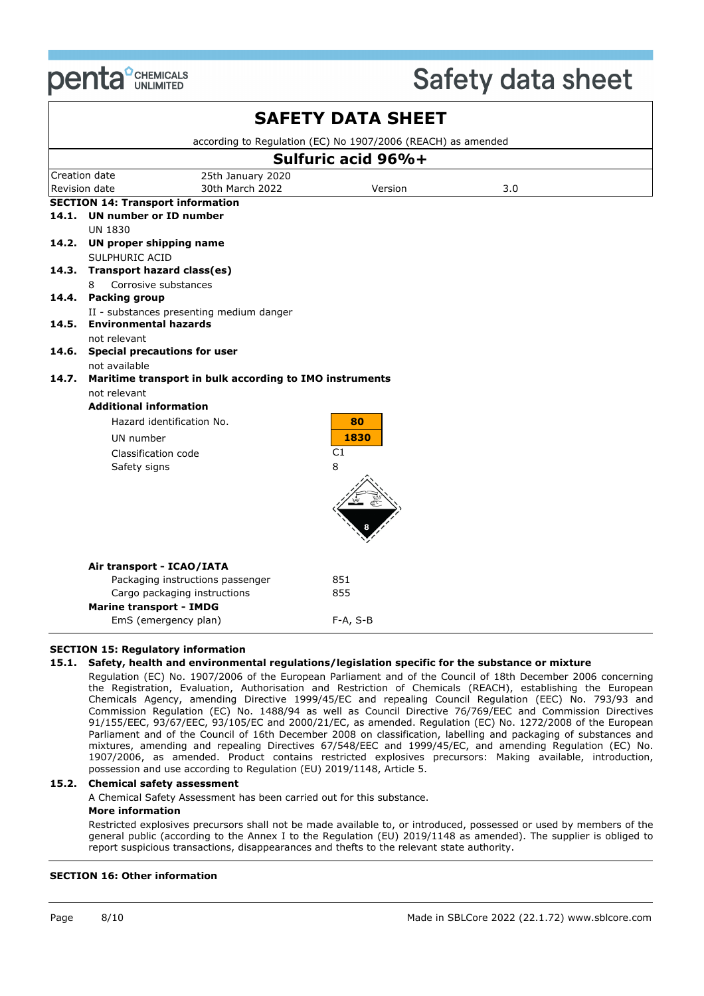

| according to Regulation (EC) No 1907/2006 (REACH) as amended<br>Sulfuric acid 96%+<br>Creation date<br>25th January 2020<br>30th March 2022<br>Revision date<br>Version<br>3.0<br><b>SECTION 14: Transport information</b><br>14.1. UN number or ID number<br><b>UN 1830</b><br>14.2. UN proper shipping name<br>SULPHURIC ACID<br><b>Transport hazard class(es)</b><br>14.3.<br>Corrosive substances<br>8<br>14.4. Packing group<br>II - substances presenting medium danger<br>14.5. Environmental hazards<br>not relevant<br>14.6. Special precautions for user<br>not available<br>Maritime transport in bulk according to IMO instruments<br>14.7.<br>not relevant<br><b>Additional information</b><br>Hazard identification No.<br>80 |  |
|---------------------------------------------------------------------------------------------------------------------------------------------------------------------------------------------------------------------------------------------------------------------------------------------------------------------------------------------------------------------------------------------------------------------------------------------------------------------------------------------------------------------------------------------------------------------------------------------------------------------------------------------------------------------------------------------------------------------------------------------|--|
|                                                                                                                                                                                                                                                                                                                                                                                                                                                                                                                                                                                                                                                                                                                                             |  |
|                                                                                                                                                                                                                                                                                                                                                                                                                                                                                                                                                                                                                                                                                                                                             |  |
|                                                                                                                                                                                                                                                                                                                                                                                                                                                                                                                                                                                                                                                                                                                                             |  |
|                                                                                                                                                                                                                                                                                                                                                                                                                                                                                                                                                                                                                                                                                                                                             |  |
|                                                                                                                                                                                                                                                                                                                                                                                                                                                                                                                                                                                                                                                                                                                                             |  |
|                                                                                                                                                                                                                                                                                                                                                                                                                                                                                                                                                                                                                                                                                                                                             |  |
|                                                                                                                                                                                                                                                                                                                                                                                                                                                                                                                                                                                                                                                                                                                                             |  |
|                                                                                                                                                                                                                                                                                                                                                                                                                                                                                                                                                                                                                                                                                                                                             |  |
|                                                                                                                                                                                                                                                                                                                                                                                                                                                                                                                                                                                                                                                                                                                                             |  |
|                                                                                                                                                                                                                                                                                                                                                                                                                                                                                                                                                                                                                                                                                                                                             |  |
|                                                                                                                                                                                                                                                                                                                                                                                                                                                                                                                                                                                                                                                                                                                                             |  |
|                                                                                                                                                                                                                                                                                                                                                                                                                                                                                                                                                                                                                                                                                                                                             |  |
|                                                                                                                                                                                                                                                                                                                                                                                                                                                                                                                                                                                                                                                                                                                                             |  |
|                                                                                                                                                                                                                                                                                                                                                                                                                                                                                                                                                                                                                                                                                                                                             |  |
|                                                                                                                                                                                                                                                                                                                                                                                                                                                                                                                                                                                                                                                                                                                                             |  |
|                                                                                                                                                                                                                                                                                                                                                                                                                                                                                                                                                                                                                                                                                                                                             |  |
|                                                                                                                                                                                                                                                                                                                                                                                                                                                                                                                                                                                                                                                                                                                                             |  |
|                                                                                                                                                                                                                                                                                                                                                                                                                                                                                                                                                                                                                                                                                                                                             |  |
|                                                                                                                                                                                                                                                                                                                                                                                                                                                                                                                                                                                                                                                                                                                                             |  |
|                                                                                                                                                                                                                                                                                                                                                                                                                                                                                                                                                                                                                                                                                                                                             |  |
| 1830<br>UN number                                                                                                                                                                                                                                                                                                                                                                                                                                                                                                                                                                                                                                                                                                                           |  |
| C1<br>Classification code                                                                                                                                                                                                                                                                                                                                                                                                                                                                                                                                                                                                                                                                                                                   |  |
| 8<br>Safety signs                                                                                                                                                                                                                                                                                                                                                                                                                                                                                                                                                                                                                                                                                                                           |  |
|                                                                                                                                                                                                                                                                                                                                                                                                                                                                                                                                                                                                                                                                                                                                             |  |
|                                                                                                                                                                                                                                                                                                                                                                                                                                                                                                                                                                                                                                                                                                                                             |  |
|                                                                                                                                                                                                                                                                                                                                                                                                                                                                                                                                                                                                                                                                                                                                             |  |
|                                                                                                                                                                                                                                                                                                                                                                                                                                                                                                                                                                                                                                                                                                                                             |  |
|                                                                                                                                                                                                                                                                                                                                                                                                                                                                                                                                                                                                                                                                                                                                             |  |
| Air transport - ICAO/IATA                                                                                                                                                                                                                                                                                                                                                                                                                                                                                                                                                                                                                                                                                                                   |  |
| Packaging instructions passenger<br>851                                                                                                                                                                                                                                                                                                                                                                                                                                                                                                                                                                                                                                                                                                     |  |
| Cargo packaging instructions<br>855                                                                                                                                                                                                                                                                                                                                                                                                                                                                                                                                                                                                                                                                                                         |  |
| <b>Marine transport - IMDG</b>                                                                                                                                                                                                                                                                                                                                                                                                                                                                                                                                                                                                                                                                                                              |  |
| EmS (emergency plan)<br>$F-A, S-B$                                                                                                                                                                                                                                                                                                                                                                                                                                                                                                                                                                                                                                                                                                          |  |

#### **SECTION 15: Regulatory information**

#### **15.1. Safety, health and environmental regulations/legislation specific for the substance or mixture**

Regulation (EC) No. 1907/2006 of the European Parliament and of the Council of 18th December 2006 concerning the Registration, Evaluation, Authorisation and Restriction of Chemicals (REACH), establishing the European Chemicals Agency, amending Directive 1999/45/EC and repealing Council Regulation (EEC) No. 793/93 and Commission Regulation (EC) No. 1488/94 as well as Council Directive 76/769/EEC and Commission Directives 91/155/EEC, 93/67/EEC, 93/105/EC and 2000/21/EC, as amended. Regulation (EC) No. 1272/2008 of the European Parliament and of the Council of 16th December 2008 on classification, labelling and packaging of substances and mixtures, amending and repealing Directives 67/548/EEC and 1999/45/EC, and amending Regulation (EC) No. 1907/2006, as amended. Product contains restricted explosives precursors: Making available, introduction, possession and use according to Regulation (EU) 2019/1148, Article 5.

#### **15.2. Chemical safety assessment**

A Chemical Safety Assessment has been carried out for this substance.

#### **More information**

Restricted explosives precursors shall not be made available to, or introduced, possessed or used by members of the general public (according to the Annex I to the Regulation (EU) 2019/1148 as amended). The supplier is obliged to report suspicious transactions, disappearances and thefts to the relevant state authority.

#### **SECTION 16: Other information**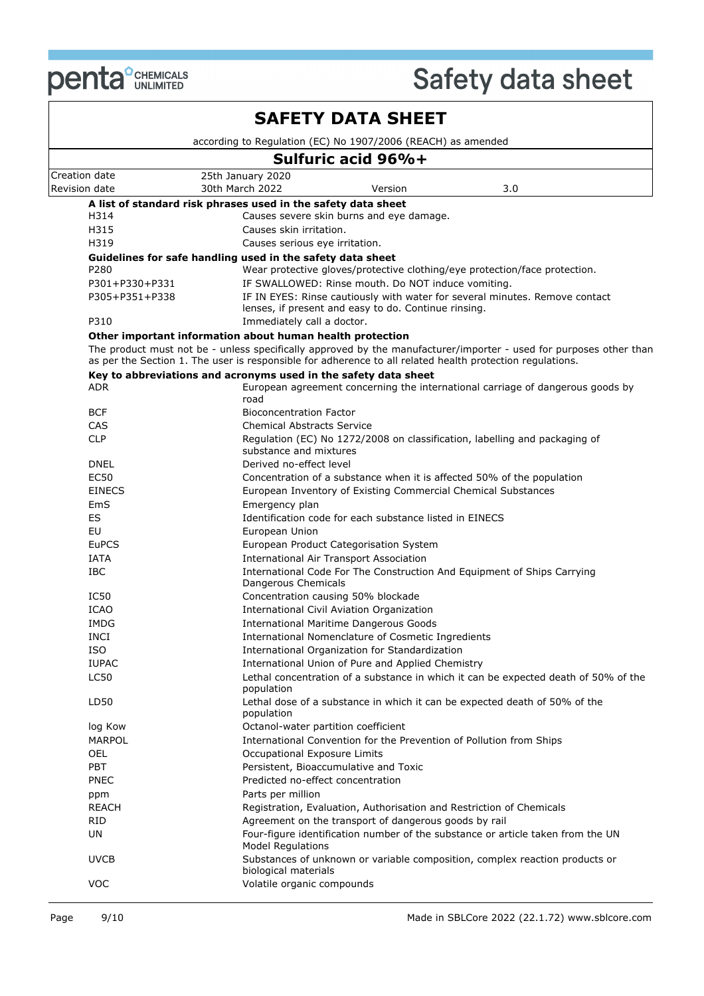

|                                |                                                                                                           | <b>SAFETY DATA SHEET</b>                                |                                                                                                                    |
|--------------------------------|-----------------------------------------------------------------------------------------------------------|---------------------------------------------------------|--------------------------------------------------------------------------------------------------------------------|
|                                | according to Regulation (EC) No 1907/2006 (REACH) as amended                                              |                                                         |                                                                                                                    |
|                                |                                                                                                           | Sulfuric acid 96%+                                      |                                                                                                                    |
| Creation date<br>Revision date | 25th January 2020<br>30th March 2022                                                                      | Version                                                 | 3.0                                                                                                                |
|                                | A list of standard risk phrases used in the safety data sheet                                             |                                                         |                                                                                                                    |
| H314                           |                                                                                                           | Causes severe skin burns and eye damage.                |                                                                                                                    |
| H315                           | Causes skin irritation.                                                                                   |                                                         |                                                                                                                    |
| H319                           | Causes serious eye irritation.                                                                            |                                                         |                                                                                                                    |
|                                | Guidelines for safe handling used in the safety data sheet                                                |                                                         |                                                                                                                    |
| P280                           |                                                                                                           |                                                         | Wear protective gloves/protective clothing/eye protection/face protection.                                         |
| P301+P330+P331                 |                                                                                                           | IF SWALLOWED: Rinse mouth. Do NOT induce vomiting.      |                                                                                                                    |
| P305+P351+P338                 |                                                                                                           |                                                         | IF IN EYES: Rinse cautiously with water for several minutes. Remove contact                                        |
| P310                           | Immediately call a doctor.                                                                                | lenses, if present and easy to do. Continue rinsing.    |                                                                                                                    |
|                                | Other important information about human health protection                                                 |                                                         |                                                                                                                    |
|                                |                                                                                                           |                                                         | The product must not be - unless specifically approved by the manufacturer/importer - used for purposes other than |
|                                | as per the Section 1. The user is responsible for adherence to all related health protection regulations. |                                                         |                                                                                                                    |
| ADR                            | Key to abbreviations and acronyms used in the safety data sheet                                           |                                                         | European agreement concerning the international carriage of dangerous goods by                                     |
|                                | road                                                                                                      |                                                         |                                                                                                                    |
| <b>BCF</b>                     | <b>Bioconcentration Factor</b>                                                                            |                                                         |                                                                                                                    |
| CAS                            | <b>Chemical Abstracts Service</b>                                                                         |                                                         |                                                                                                                    |
| <b>CLP</b>                     |                                                                                                           |                                                         | Regulation (EC) No 1272/2008 on classification, labelling and packaging of                                         |
|                                | substance and mixtures                                                                                    |                                                         |                                                                                                                    |
| <b>DNEL</b>                    | Derived no-effect level                                                                                   |                                                         |                                                                                                                    |
| <b>EC50</b>                    |                                                                                                           |                                                         | Concentration of a substance when it is affected 50% of the population                                             |
| <b>EINECS</b>                  |                                                                                                           |                                                         | European Inventory of Existing Commercial Chemical Substances                                                      |
| EmS                            | Emergency plan                                                                                            |                                                         |                                                                                                                    |
| ES                             |                                                                                                           | Identification code for each substance listed in EINECS |                                                                                                                    |
| EU                             | European Union                                                                                            |                                                         |                                                                                                                    |
| <b>EuPCS</b>                   |                                                                                                           | European Product Categorisation System                  |                                                                                                                    |
| <b>IATA</b>                    |                                                                                                           | International Air Transport Association                 |                                                                                                                    |
| <b>IBC</b>                     | Dangerous Chemicals                                                                                       |                                                         | International Code For The Construction And Equipment of Ships Carrying                                            |
| IC50                           |                                                                                                           | Concentration causing 50% blockade                      |                                                                                                                    |
| <b>ICAO</b>                    |                                                                                                           | International Civil Aviation Organization               |                                                                                                                    |
| <b>IMDG</b>                    |                                                                                                           | <b>International Maritime Dangerous Goods</b>           |                                                                                                                    |
| <b>INCI</b>                    |                                                                                                           | International Nomenclature of Cosmetic Ingredients      |                                                                                                                    |
| <b>ISO</b>                     |                                                                                                           | International Organization for Standardization          |                                                                                                                    |
| <b>IUPAC</b>                   |                                                                                                           | International Union of Pure and Applied Chemistry       |                                                                                                                    |
| <b>LC50</b>                    |                                                                                                           |                                                         | Lethal concentration of a substance in which it can be expected death of 50% of the                                |
|                                | population                                                                                                |                                                         |                                                                                                                    |
| LD50                           |                                                                                                           |                                                         | Lethal dose of a substance in which it can be expected death of 50% of the                                         |
|                                | population                                                                                                |                                                         |                                                                                                                    |
| log Kow                        | Octanol-water partition coefficient                                                                       |                                                         |                                                                                                                    |
| MARPOL                         |                                                                                                           |                                                         | International Convention for the Prevention of Pollution from Ships                                                |
| OEL                            | Occupational Exposure Limits                                                                              |                                                         |                                                                                                                    |
| <b>PBT</b>                     | Predicted no-effect concentration                                                                         | Persistent, Bioaccumulative and Toxic                   |                                                                                                                    |
| <b>PNEC</b>                    |                                                                                                           |                                                         |                                                                                                                    |
| ppm<br>REACH                   | Parts per million                                                                                         |                                                         |                                                                                                                    |
| RID                            |                                                                                                           | Agreement on the transport of dangerous goods by rail   | Registration, Evaluation, Authorisation and Restriction of Chemicals                                               |
| UN                             |                                                                                                           |                                                         | Four-figure identification number of the substance or article taken from the UN                                    |
|                                | <b>Model Regulations</b>                                                                                  |                                                         |                                                                                                                    |
| <b>UVCB</b>                    |                                                                                                           |                                                         | Substances of unknown or variable composition, complex reaction products or                                        |
|                                | biological materials                                                                                      |                                                         |                                                                                                                    |
| <b>VOC</b>                     | Volatile organic compounds                                                                                |                                                         |                                                                                                                    |